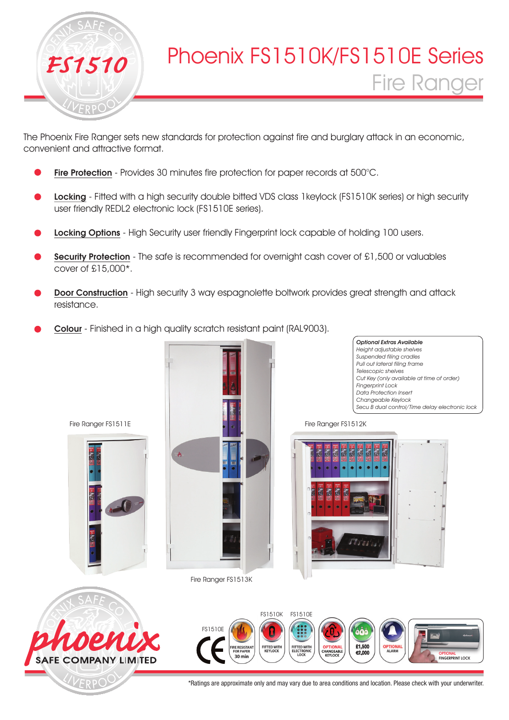

The Phoenix Fire Ranger sets new standards for protection against fire and burglary attack in an economic, convenient and attractive format.

- Fire Protection Provides 30 minutes fire protection for paper records at 500°C.
- Locking Fitted with a high security double bitted VDS class 1 keylock (FS1510K series) or high security user friendly REDL2 electronic lock (FS1510E series).
- Locking Options High Security user friendly Fingerprint lock capable of holding 100 users.
- Security Protection The safe is recommended for overnight cash cover of £1,500 or valuables cover of £15,000\*.
- Door Construction High security 3 way espagnolette boltwork provides great strength and attack resistance.
- Colour Finished in a high quality scratch resistant paint (RAL9003).



Fire Ranger FS1513K

Optional Extras Available Height adjustable shelves Suspended filing cradles Pull out lateral filing frame Telescopic shelves Cut Key (only available at time of order) Fingerprint Lock Data Protection Insert Changeable Keylock Secu B dual control/Time delay electronic lock

Fire Ranger FS1512K





Fire Ranger FS1511E



\*Ratings are approximate only and may vary due to area conditions and location. Please check with your underwriter.